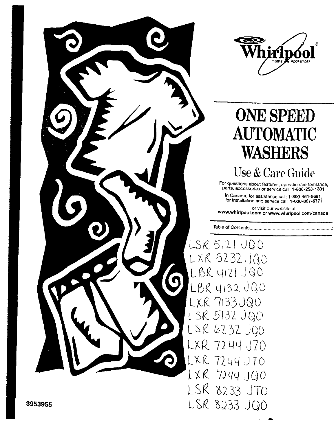



# **ONE SPEED AUTOMATIC WASHERS**

Use & Care Guide

For questions about features, operation performance,<br>parts, accessories or service call: 1-800-253-1301

In Canada, for assistance call: 1-800-461-5681. for installation and service call: 1-800-807-6777

or visit our website at www.whirlpool.com or www.whirlpool.com/canada

LSR 5121 JQO  $LXR$  5232 JQC LBR 4121 JBC LBR 4132 JBC LXR 7133 JQ0 LSR 5132 JQ0 LSR 6232 JQ0 LXR 7244 J70 LXR 7244 JT0 LXR 7244 JQ0 LSR 8233 JTO LSR 8233 JQ0

3953955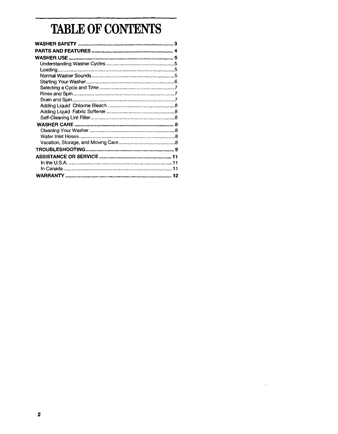## TABLE OF CONTENTS

 $\hat{\mathcal{A}}$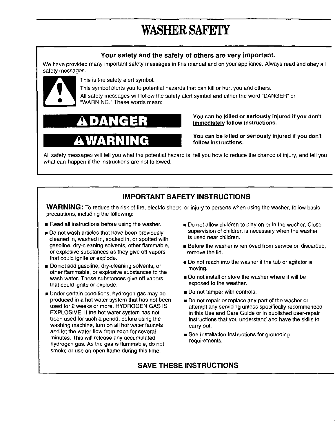## WASHER SAFETY

### **Your safety and the safety of others are very important.**

We have provided many important safety messages in this manual and on your appliance. Always read and obey all safety **messages.**



This is the safety alert symbol.

This symbol alerts you to potential hazards that can kill or hurt you and others.

All safety messages will follow the safety alert symbol and either the word "DANGER" or "WARNING." These words mean:





**You can be killed or seriously injured if you don't immediately follow instructions.**

**You can be killed or seriously injured if you don't follow instructions,**

All safety messages will tell you what the potential hazard is, tell you how to reduce the chance of injury, and tell you what can happen if the instructions are not followed.

### **IMPORTANT SAFETY INSTRUCTIONS**

**WARNING:** To reduce **the** risk of fire, electric shock, **or injury to** persons when using the washer, follow basic **precautions, including the** following:

- **Read** all **instructions** before **using** the **washer.**
- **Do** not wash articles that have been previously cleaned in, washed in, soaked in, or spotted with gasoline, dry-cleaning solvents, other flammable, or explosive substances as they give off vapors that could ignite or explode.
- Do not add gasoline, dry-cleaning solvents, or other flammable, or explosive substances to the wash water. These substances give off vapors that could ignite or explode.
- Under certain conditions, hydrogen gas may be produced in a hot water system that has not been used for 2 weeks or more. HYDROGEN GAS IS EXPLOSIVE. If the hot water system has not been used for such a period, before using the washing machine, turn on all hot water faucets and let the water flow from each for several minutes. This will release any accumulated hydrogen gas. As the gas is flammable, do not smoke or use an open flame during this time.
- Do not allow children to play on or in the washer. Close supervision of **children** is necessary when the washer is used near children.
- Before **the washer is** removed from service **or** discarded, remove the lid.
- **Do not reach into the washer if the tub or agitator is** moving.
- Do **not install or store the washer** where **it** will be **exposed to the weather.**
- Do **not** tamper with controls.
- Do not **repair** or replace any **part of** the **washer or** attempt any servicing unless specifically recommended in this Use and Care Guide or in published user-repair instructions that you understand and have the skills to carry out.
- See Installation Instructions **for** grounding **requirements.**

### **SAVE THESE INSTRUCTIONS**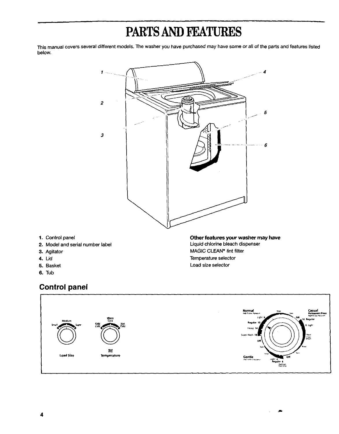## PARTS AND FEATURES

This manual covers several different models. The washer you have purchased may have some or all of the parts and features listed below.



- 1. Control panel
- 2. Model and serial number label
- 3. Agitator
- 4. Lid
- 5. Basket
- **6.** Tub

## **Control panel**



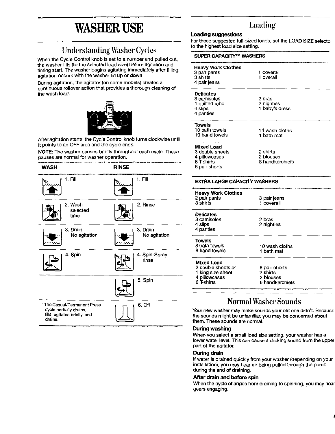## WASHER USE

## Understanding Washer Cyc]es

When the Cycle Control knob is set to a number and pulled out, the washer fills (to the selected load size) before agitation and timing start. The washer begins agitating immediately after filling; agitation occurs with the washer lid up or down.

During agitation, the agitator (on some models) creates a continuous rollover action that provides a thorough cleaning of the wash load.



After agitation starts, the Cycle Control knob turns clockwise until it points to an OFF area and the **cycle** ends.

**NOTE:** The washer pauses briefly throughout each cycle. These pauses are normal for washer operation.



## Loading

#### **Loading suggestions**

**For these suggested full-sized loads, set the LOAD SIZE selectc to the highest load size setting,**

| SUPER CAPACITY™ WASHERS                                                       |                                          |  |
|-------------------------------------------------------------------------------|------------------------------------------|--|
| <b>Heavy Work Clothes</b><br>3 pair pants<br>3 shirts<br>4 pair jeans         | 1 coverall<br>1 overall                  |  |
| <b>Delicates</b><br>3 camisoles<br>1 quilted robe<br>4 slips<br>4 panties     | 2 pras<br>2 nighties<br>1 baby's dress   |  |
| Towels<br>10 bath towels<br>10 hand towels                                    | 14 wash cloths<br>1 bath mat             |  |
| Mixed Load<br>3 double sheets<br>4 pillowcases<br>8 T-shirts<br>6 pair shorts | 2 shirts<br>2 blouses<br>8 handkerchiefs |  |
| <b>EXTRA LARGE CAPACITY WASHERS</b>                                           |                                          |  |
| <b>Heavy Work Clothes</b><br>2 pair pants<br>ヘートレート                           | 3 pair jeans                             |  |

| z parī panīs<br>3 shirts                                                                    | 3 pair jeans<br>1 coverall                                |  |
|---------------------------------------------------------------------------------------------|-----------------------------------------------------------|--|
| <b>Delicates</b><br>3 camisoles<br>4 slips<br>4 panties                                     | 2 bras<br>2 nighties                                      |  |
| Towels<br>8 bath towels<br>8 hand towels                                                    | 10 wash cloths<br>1 bath mat                              |  |
| <b>Mixed Load</b><br>2 double sheets or<br>1 king size sheet<br>4 pillowcases<br>6 T-shirts | 6 pair shorts<br>2 shirts<br>2 blouses<br>6 handkerchiefs |  |

## Normal Washer Sounds

ان المادة في يوم به المستقدمة في عن المستقدم المستقدم المستقدم به المستقدمة المستقدمة المستقدمة الأم

**Your new washer** may make **sounds** your **old one** didn't. **Because the sounds might be unfamiliar, you may be concerned about them. These sounds are normal.**

#### **During washing**

When you **select a small load size setting,** your **washer has a** lower water level. This can cause a clicking **sound** from the upper part of the agitator.

#### **During drain**

If water is drained quickly from your washer (depending on your installation), you may hear air being pulled through the pump during the end of draining.

#### **After drain and before spin**

**When the cycle changes from draining to spinning, you may hear** gears **engaging.**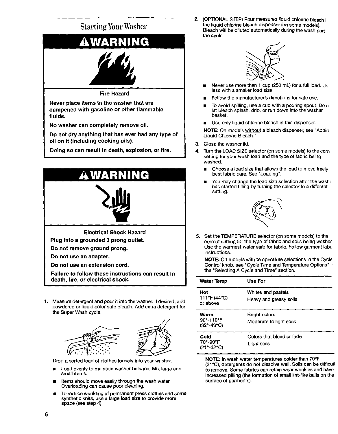

Drop **a sorted load of clothes** loosely **into** your **washer.**

- **• Load** evenly **to maintain washer** balance. Mix large and small items.
- **Items** should move **easily through the wash water. Overloading can cause poor cleaning.**
- **To reduce wrinkling of permanent press clothes and some synthetic knits, use a large load size to provide** more **space (see step 4).**

2. (OPTIONAL STEP) **Pour** measured **liquid chlorine bleach i** the liquid chlorine bleach dispenser (on **some** models). Bleach will be diluted automatically during the wash part the **cycle.**



- Never use more **than** 1 **cup** (250 mL) for a full load. Us less with a smaller **load** size.
- **a** Follow the manufacturer's directions for safe use.
- To avoid spilling, use a cup with a pouring spout. Do n let bleach splash, drip, or run down into the washer basket.
- Use only liquid chlorine bleach in this dispenser.

NOTE: On models without a bleach dispenser, see "Addin Liquid Chlorine Bleach."

- **3.** Close the washer lid.
- 4. Turn the LOAD SIZE selector (on some models) to the corre setting for your wash load and the type of fabric being washed.
	- Choose a **load** size that allows the load to move freely **;** best fabric care. See "Loading".
	- You may change the load size selection after the washe has started filling by turning the selector to a different setting.



**5.** Set **the TEMPERATURE selector** (on **some** models) **to the** correct setting for the type of fabric and soils being washec Use the warmest water **safe** for fabric. Follow garment labe instructions.

**NOTE:** On models **with** temperature **selections** in the Cycle Control knob, **see** "Cycle Time and Temperature Options" i\_ the "Selecting A Cycle **and** Time" **section.**

| <b>Water Temp</b>                                                  | Use For                                         |
|--------------------------------------------------------------------|-------------------------------------------------|
| Hot<br>111°F (44°C)<br>or above                                    | Whites and pastels<br>Heavy and greasy soils    |
| Warm<br>$90^{\circ} - 110^{\circ}$ F<br>$(32^{\circ}-43^{\circ}C)$ | <b>Bright colors</b><br>Moderate to light soils |
| Cold<br>70°-90°F<br>(21° 32°C)                                     | Colors that bleed or fade<br>Light soils        |

**NOTE: In wash water temperatures colder than 7O°F** (21°(3), **detergents do not dissolve well. Soils can be difficult to remove, Some** fabrics **can retain wear wrinkles and have increased pilling (the** formation **of small lint-like balls on the surface of garments),**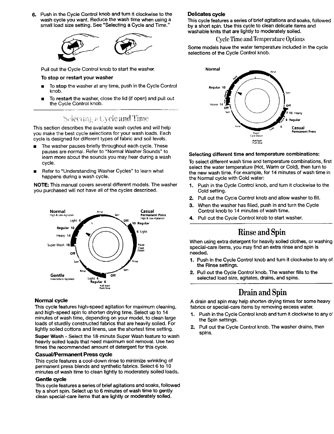**6.** Push **in the** Cycle **Control** knob and **turn it clockwise to the** wash **cycle** you want. Reduce the wash time when using a small load size setting. See "Selecting a Cycle and Time."



Pull out the Cycle Control knob to start the washer,

#### To **stop or** restart your **washer**

- To **stop** the washer at any time, push in the Cycle Control knob.
- To restart the washer, close the lid (if open) and pull out the Cycle Control knob.

## Selecting a Cycle and Time

This section describes the available wash cycles and will help you make the best cycle selections for your wash loads. Each cycle is designed for different types of fabric and soil levels.

- The washer pauses briefly throughout each cycle. These pauses are normal. Refer to "Normal Washer Sounds" to learn more about the sounds you may hear during a wash cycle.
- **E** Refer to "Understanding Washer Cycles" to learn what happens during a wash cycle.

NOTE: This manual covers several different models. The washer you purchased will not have all of the cycles described.



#### **Normal cycle**

This **cycle** features high-speed agitation for maximum cleaning, and high-speed spin to shorten drying time. Select up to 14 minutes of wash time, depending on your model, to clean large loads of sturdily constructed fabrics that are heavily soiled. For lightly soiled cottons and linens, use the shortest time setting.

**Super Wash** - Select the 18-minute Super Wash feature to wash heavily soiled loads that **need** maximum soil removal. Use two times the recommended amount of detergent for this cycle.

#### **Casual/Permanent Press cycle**

**This cycle** features **a cool-down rinse to minimize wrinkling of permanent press blends and synthetic fabrics. Select 6 to 10 minutes of wash time to clean lightly to moderately soiled loads.**

#### **Gentle** cycle

This **cycle features a series of brief** agitations **and soaks, followed by** a **short spin. Select up to 6** minutes **of wash time to gently clean special-cara items that** are **lightly or moderately soiled.**

#### **Delicates** cycle

This **cycle features a series of brief** agitations **and soaks, followed by a short spin. Use this cycle to clean delicate items and washable knits that are** lightly **to** moderately **soiled.**

#### **Cycle Time and Temperature Options**

Some models have the water temperature included in the cycle selections of the Cycle Control knob.



#### **Selecting different time and temperature combinations:**

**To setect different wash time and temperature combinations, first select the water temperature (Hot, Warm or Cold), then turn to the new wash time. For example, for 14 minutes of wash time in the Normal cycle with Cold water:**

- **1. Push in the Cycle Control knob, and turn it clockwise to the Cold setting.**
- **2. Pull out the Cycle Control knob** and allow **washer to fill.**
- **3. When the washer has** filled, **push in and turn the Cycle Control knob to 14 minutes of wash time.**
- **4.** Pull out **the** Cycle Control **knob** to start **washer.**

## Rinse and **Spin**

When using extra detergent for heavily **soiled clothes, or** washing special-care items, you may find an **extra** rinse and spin is needed.

- **1.** Push in the Cycle Control knob and turn it clockwise to any of the Rinse settings.
- **2.** Pull out the Cycle Control knob. The washer fills to the selected load size, **agitates,** drains, and spins.

## **Drain**and **Spin**

A drain and **spin may** help **shorten** drying **times** for **some** heavy **fabrics or special-cara items** by **removing excess water,**

- **1. Push in the** Cycle Control **knob** and **turn it clockwise to** any **o' the Spin settings.**
- **2. Pull out the** Cycle Control **knob. The washer drains, then spins.**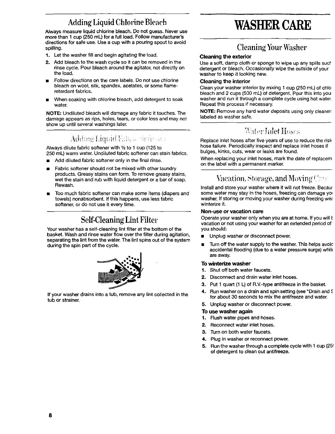## Adding Liquid Chlorine Bleach

Always **measure liquid** chlorine bleach. Do not guess. Never **use** more than I cup (250 mL) for **a** full load. Follow manufacturer's directions for safe use. Use a cup with a pouring spout to avoid spilling.

- 1. Let the washer fill and begin **agitating** the **load.**
- **2.** Add bleach to the wash cycle so it can be removed in the rinse cycle. Pour bleach around the **agitator,** not directly on the load.
- Follow directions on the care labels. Do not use chlorine bleach on wool, silk, spandex, acetates, or some fiameretardant fabrics.
- When soaking with chlorine bleach, add detergent to soak **water.**

NOTE: Undiluted bleach will damage any fabric it touches. The damage appears as rips, holes, tears, or color loss and may not show up until several washings later.

### Adding Liquid Eibra chefte an

Always dilute fabric softener with  $1/2$  to 1 cup (125 to 250 mL) warm water. Undiluted fabric softener can stain fabrics.

- Add diluted fabric softener only in the final rinse.
- Fabric softener should not be mixed with other laundry products. Greasy stains can form. To remove greasy stains, wet the stain and **rub** with liquid detergent or a bar of soap. Rewash.
- Too much fabric softener can make some items (diapers and towels) nonabsorbent. If this happens, use **less** fabric softener, or do not use it every time.

## **Self-Cleaning Lint Filter**

Your washer has a self-cleaning lint filter at the bottom of the basket. Wash and rinse water flow over the filter during agitation, separating the lint from the water. The lint spins out of the **system** during the spin part of the cycle.



If your washer drains into a **tub,** remove any lint collected in the tub or strainer.

## **WASHERCARE**

## Cleaning Your Washer

#### **Cleaning the exterior**

**Use a soft, damp cloth or sponge to wipe up** any **spills** socf **detergent or bleach. Occasionally wipe the outside of your washer to keep it looking new.**

#### **Cleaning** the **interior**

**Clean your washer interior by mixing 1 cup (250** mL) **of chlo** bleach and 2 cups (500 mL) of detergent. Pour this into you: washer and **run** it through a complete cycle using hot water. Repeat this process if necessary.

NOTE: Remove any hard water deposits using only cleaner'. labeled as washer safe.

## **Water Inlet Hoses**

Replace inlet hoses after five years of use to reduce the risk hose failure. Periodically inspect and replace inlet hoses if bulges, kinks, cuts, wear or **leaks** are found.

When replacing your inlet hoses, mark the date of replacem on the label with a permanent marker.

## Vacation, Storage, and Moving Care

**Install and store your washer where it will not freeze. Becaus** some water may stay in the hoses, freezing can damage you washer. If storing or moving your washer during freezing **we;** winterize **it.**

#### **Non-use or vacation care**

**Operate your washer only when you are at home. If you will** L **vacation or not using your washer for an extended** period **of you should:**

- **Unplug washer or disconnect power.**
- **Turn off the water supply to the washer. This helps avoic accidental flooding (due to a water pressure surge) whik are away.**

#### **To winterize washer**

- **1, Shut off both water faucets.**
- **2. Disconnect and drain water inlet hoses,**
- **3. Put 1 quart (1 L) of R.V-type antifreeze in the basket.**
- **4. Run washer on a drein and spin setting (see** "Drain **and** \_ **for about 30 seconds to** mix **the antifreeze and water,**
- **5. Unplug washer or disconnect power.**

#### **To use washer again**

- **1. Flush water pipes and hoses.**
- **2. Reconnect water inlet hoses.**
- **3. Turn on both water faucets,**
- **4. Plug in washer or** reconnect power.
- **5.** Run the washer through a complete cycle with 1 cup (25( of detergent to clean out antifreeze.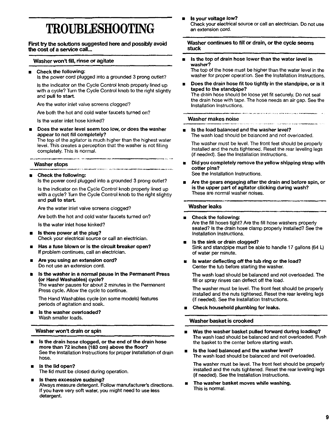## **TROUBLESHOOTING**

**First by the solutions suggested hero and possibly avoid the cost of a service call...**

#### **Washer won't fill, rinse or agitate**

= **Check the following: Is the** power **cord plugged into** a grounded **3 prong outlet?**

**Is the** indicator **on the** Cycle Control knob properly **lined up** with a cycle? Turn the Cycle Control knob to the right slightly and pull to **start,**

Are the water inlet valve screens clogged?

Are both the hot **and** cold water faucets turned on?

Is the water inlet hose kinked?

a **Does the water level seem too low, or does the washer appear to not** fill **completely?**

**The top** of **the agitator is** much **higher than the highest water level. This creates a perception that the washer is not filling completely. This is normal.**

#### **Washer stops**

#### • **Check the following:**

**Is the power cord plugged into a** grounded **3 prong outlet?**

Is **the indicator on the** Cycle **Control knob properly** lined **up with a cycle? Turn the** Cycle Control **knob to the right slightly** and **pull to start.**

**Are the water inlet valve screens clogged?**

Are **both the hot and cold water** faucets **turned on?**

**Is the water inlet hose kinked?**

- **Is there power at the plug?** Check your **electrical source or call an electrician.**
- **Has a fuse blown or is the circuit breaker open? If problem** continues, **call** an **electrician.**
- **Are you using an extension cord? Do not** use **an extension cord.**
- **Is the washer in a normal pause in the Permanent Press (or Hand Washables) cycle?** The **washer pauses for about 2 minutes in the Permanent Press cycle. Allow the cycle to continue.**

The **Hand Washables** cycle (on **some models) features periods** of **agitation and** soak.

**Is the washer overloaded? Wash smaller loads.**

#### **Washer won\_ drain or spin**

- **Is the drain hose clogged, or the end of** the **drain hose more than 72 inches (183 cm) above the floor?** See **the Installation Instructions for proper installation of drain hose.**
- **Is the lid open?** The **lid must** be closed **during operation.**
- m **Is there excessive sudsing?** Always **measure detergent. Follow** manufacturer's **directions. If you have very soft water, you might need to use less detergent.**

**ls your voltage low?** Check **your electrical source or call an electrician.** Do not **use an extension cord.**

**Washer continues to fill or drain, or** the **cycle** seems **stuck**

**Is the top of drain hose lower** than **the water level in washer?**

The **top of the hose must be higher than the water leve( in the washer for proper operation. See the Installation Instructions.**

**Does** the **drain hose fit too tightly** in **the standpipe, or is it taped to the standpipe? The** drain **hose should** be **loose** yet fit **securely.** Do **not seal the** drain **hose with tape. The hose needs an air gap.** See **the InetalIation Instructions,**

#### **Washer makes noise**

a **Is the load balanced and the washer level?** The **wash** load should be balanced and not overloaded.

The **washer** must be **level, The** front feet should be **properly** installed and the nuts tightened. **Reset** the rear leveling legs (if needed). See the Installation Instructions.

• **Did you completely remove the yellow shipping strap with cotter pins?**

See **the** Installation **Instructions.**

• **Are the gears engaging after** the **drain and before spin, or is the upper part of agitator clicking during wash?** These **are normal washer noises.**

#### **Washer leaks**

- a **Check the following:** Are **the fill** hoses tight? Are **the** fill **hose washers properly seated? Is the drain hose clamp properly installed? See the Installation Instructions.**
- **Is the sink or drain clogged?** Sink **and standpipe must** be **able to** handle 17 gallons **(64 L) of water per minute.**
- **Is water deflecting off the tub ring or** the **load?** Center **the tub** before **starting the washer.**

**The wash load should** be balanced **and not overloaded. The fill or** spray **rinses can deflect off the load.**

The **washer must** be **level. The** front feet should be properly installed and the nuts tightened. **Reset** the rear leveling **legs** (if needed). See the Installation Instructions.

• **Check** household **plumbing for leaks.**

#### **Washer basket is crooked**

- **Was the washer basket pulled forward during loading? The wash load should be balanced and not overloaded. Push the basket to the** center **before starting wash.**
- a **Is** the **load balanced and the washer level?** The **wash load should be balanced and not overloaded.**

The **washer** must **be level. The front** feet **should be** properly **installed and the** nuts **tightened. Reset the rear** leveling **legs (if needed).** See **the Installation Instructions.**

• **The washer basket moves while washing.** This is **normal**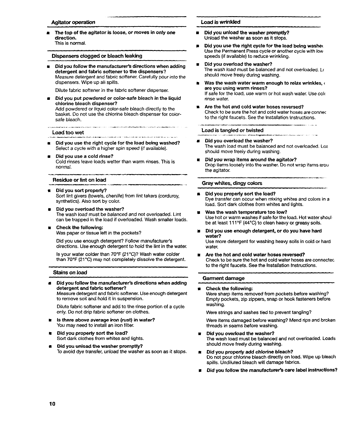#### **Agitator operation**

• **The top of the agitator is loose, or moves in only one direction. This is normal.**

#### **Dispensers dogged or bleach leaking**

Did **you follow the manufacturer's directions when adding detergent and fabric softener to the dispensers? Measure detergent and** fabric **softener, Carefully pour into the** dispensers. Wipe up all **spills.**

Dilute fabric softener in the **fabric** softener dispenser.

**Did you put powdered or color-safe bleach** in **the liquid chlorine bleach dispenser?. Add** powdered **or liquid color-safe** bleach directly **to the** basket. Do not use the chlorine bleach dispenser for colorsafe bleach.

#### **Load too wet**

• Did **you use the right cycle for the** load **being washed?** Select **a** cycle **with** a **higher** spin **speed (if available)•**

.<br>An airson a' cheangal agus an an chuidhean an chuid an chuid an chuid an chuid an chuid an an an chuid an chui

**Several in companies of the contract of the second** 

• **Did you use a cold rinse?** Cold **rinses leave loads wetter** than **warm rinses.** This is normal.

#### **Residue or lint on load**

- **• Did you sort properly?** Sort lint givers **(towels,** chenille) from **lint takers (corduroy,** synthetics). **Also** sort by color.
- **Did you overload the washer?. The wash load must** be balanced **and not overloaded• Lint can** be **trapped** in the load if overloaded. Wash smaller loads.
- **Check the following: Was paper or tissue** left **in the pockets?**

Did you use enough detergent? Follow manufacturer's directions. **Use** enough detergent **to hold the** lint **in the water.**

Is your **water colder than 7O°F (21°C)?** Wash **water colder than 70°F (21°C)** may not **completely** dissolve **the detergent.**

#### i, i, **i,** , i i **Stains on** load

i **J**

**Did you follow** the manufacturer's **directions when adding detergent and fabric softener?.**

**Measure** detergent **and** fabric softener. **Use** enough detergent **to remove sol{** and hold **{t**in **suspension.**

**Dilute fabric** softener and add **to the rinse** portion of **a** cycle only. Do not drip fabric softener on clothes.

- **Is there above average iron (rust) in water?** You **may need to install an iron** filter.
- **Did you properly sort the load?** Sort dark clothes **from** whites **and** lights.
- **Did you unload the washer promptly?. To avoid** dye **transfer, unload the washer as soon as it stops.**

#### **Load is wrinkled**

i

- **Did you unload** the **washer promptly? Unload**the **washeras soon**as **it stops.**
- **Did you use the right** cycle **for** the **load being washe\_ Use the** Permanent **Press cycle** or **another cycle with** low **speeds** (if available) **to** reduce **wrinkling.**
- **Did you overload the washer? The** wash load must be balanced **and not overloaded. Lc** should move freely during washing.
- **Was the wash water warm enough to relax wrinkles,**  $\epsilon$  $\blacksquare$ **are you using warm** rinses? **If safe** for **the load, use warm or** hot **wash water. Use** cole **rinse** water.
- **Are the hot and cold water hoses reversed?** Check **to** be sure **the hot and cold water** hoses **are** cermet to the right **faucets.** See the Installation Instructions.

#### **Load is tangled or twisted**

- **Did you overload the washer?. The wash load** must be balanced and not **overloaded, Lo\_** should **move** freely during **washing.**
- Did **you wrap items around the agitator?** Drop items loosely into **the washer.** De **not wrap** items areu the agitator.

#### **Gray whites, dingy colors**

- **Did you propedy sort** the load? Dye **transfer can occur when mixing whites and colors in a load,** Sort dark clothes from **whites and lights.**
- **Was the wash temperature too low? Use** hot **or warm washes if** safe for **the** load, **Hot water shoul** be at least **111 °F** (44°C) **to clean heavy** or greasy **soils.**
- **Did you use enough detergent, or do you have hard water?**

**Use** more **detergent for washing heavy soils** in **cold or hard water.**

• **Are the hot and cold water hoses reversed?** Check **to** be **sure the hot and cold water hoses are** connectec **to the right faucets. See the** Installation Instructions.

#### **Garment damage**

• **Cheek the following:** Were **sharp items removed from** pockets before **washing?** Empty pockets, zip **zippers, snap** or hook **fasteners** before washing.

Were **strings and sashes tied** to prevent **tangling?**

Were **items** damaged before **washing?** Mend **rips and** broken threads **in seams** before **washing.**

- **Did you overload the washer?** The **wash** load must be balanced and **not overloaded, Loads should move** freely **during washing,**
- **Did you properly add chlorine bleach? Do not pour chlorine** bleach **directly on** load. Wipe **up** bleach **spills. Undiluted bleach will damage fabrics.**
- **Did you follow the manufacturer's care label instructions?**